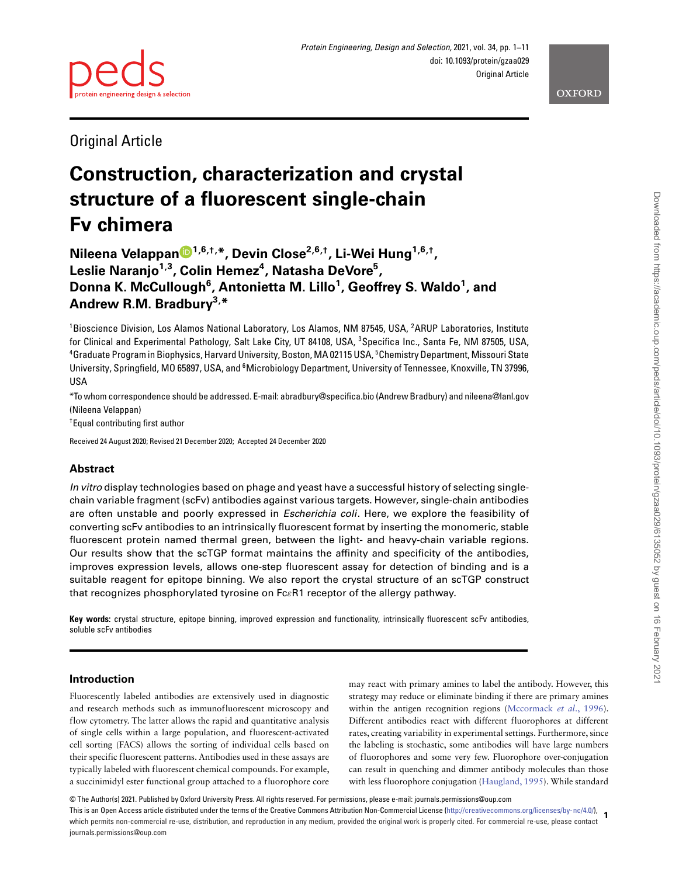



Original Article

# **Construction, characterization and crystal structure of a fluorescent single-chain Fv chimera**

**Nileena Velappan [1](http://orcid.org/0000-0002-4488-9126),6,†,\*, Devin Close2,6,†, Li-Wei Hung1,6,†, Leslie Naranjo1,3 , Colin Hemez<sup>4</sup> , Natasha DeVore5 , Donna K. McCullough6 , Antonietta M. Lillo<sup>1</sup> , Geoffrey S. Waldo<sup>1</sup> , and Andrew R.M. Bradbury3, \***

<sup>1</sup>Bioscience Division, Los Alamos National Laboratory, Los Alamos, NM 87545, USA, <sup>2</sup>ARUP Laboratories, Institute for Clinical and Experimental Pathology, Salt Lake City, UT 84108, USA, <sup>3</sup>Specifica Inc., Santa Fe, NM 87505, USA, 4 Graduate Program in Biophysics, Harvard University, Boston, MA 02115 USA, <sup>5</sup> Chemistry Department, Missouri State University, Springfield, MO 65897, USA, and <sup>6</sup>Microbiology Department, University of Tennessee, Knoxville, TN 37996, USA

\*To whom correspondence should be addressed. E-mail: abradbury@specifica.bio (Andrew Bradbury) and nileena@lanl.gov (Nileena Velappan)

† Equal contributing first author

Received 24 August 2020; Revised 21 December 2020; Accepted 24 December 2020

# **Abstract**

In vitro display technologies based on phage and yeast have a successful history of selecting singlechain variable fragment (scFv) antibodies against various targets. However, single-chain antibodies are often unstable and poorly expressed in *Escherichia coli*. Here, we explore the feasibility of converting scFv antibodies to an intrinsically fluorescent format by inserting the monomeric, stable fluorescent protein named thermal green, between the light- and heavy-chain variable regions. Our results show that the scTGP format maintains the affinity and specificity of the antibodies, improves expression levels, allows one-step fluorescent assay for detection of binding and is a suitable reagent for epitope binning. We also report the crystal structure of an scTGP construct that recognizes phosphorylated tyrosine on Fc*ε*R1 receptor of the allergy pathway.

**Key words:** crystal structure, epitope binning, improved expression and functionality, intrinsically fluorescent scFv antibodies, soluble scFv antibodies

# **Introduction**

Fluorescently labeled antibodies are extensively used in diagnostic and research methods such as immunofluorescent microscopy and flow cytometry. The latter allows the rapid and quantitative analysis of single cells within a large population, and fluorescent-activated cell sorting (FACS) allows the sorting of individual cells based on their specific fluorescent patterns. Antibodies used in these assays are typically labeled with fluorescent chemical compounds. For example, a succinimidyl ester functional group attached to a fluorophore core may react with primary amines to label the antibody. However, this strategy may reduce or eliminate binding if there are primary amines within the antigen recognition regions [\(Mccormack](#page-10-0) *et al.*, 1996). Different antibodies react with different fluorophores at different rates, creating variability in experimental settings. Furthermore, since the labeling is stochastic, some antibodies will have large numbers of fluorophores and some very few. Fluorophore over-conjugation can result in quenching and dimmer antibody molecules than those with less fluorophore conjugation [\(Haugland, 1995\)](#page-10-1). While standard

© The Author(s) 2021. Published by Oxford University Press. All rights reserved. For permissions, please e-mail: journals.permissions@oup.com

**1** This is an Open Access article distributed under the terms of the Creative Commons Attribution Non-Commercial License [\(http://creativecommons.org/licenses/by-nc/4.0/\)](http://creativecommons.org/licenses/by-nc/4.0/), which permits non-commercial re-use, distribution, and reproduction in any medium, provided the original work is properly cited. For commercial re-use, please contact journals.permissions@oup.com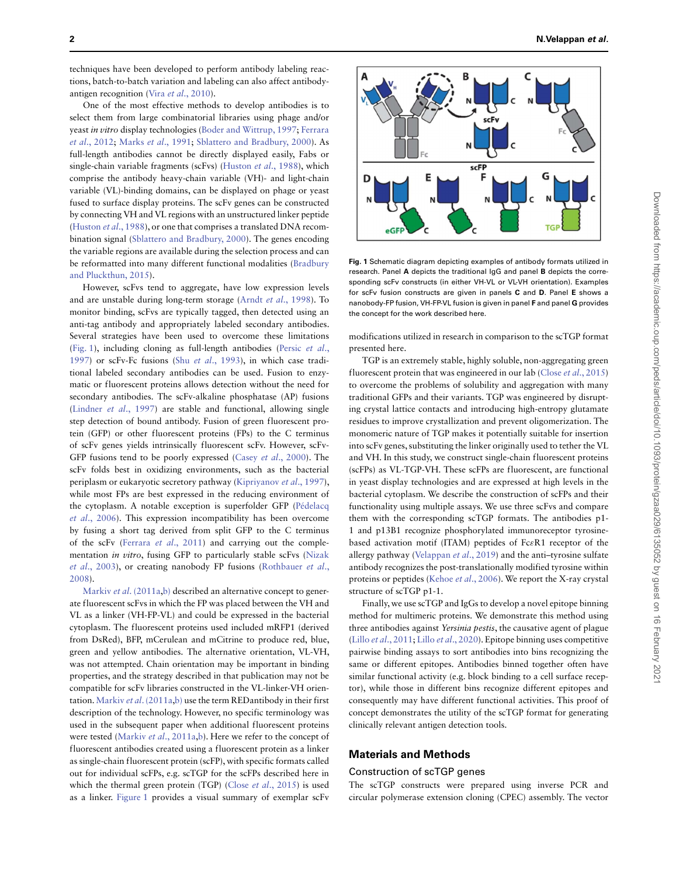techniques have been developed to perform antibody labeling reactions, batch-to-batch variation and labeling can also affect antibodyantigen recognition (Vira et al[., 2010\)](#page-10-2).

One of the most effective methods to develop antibodies is to select them from large combinatorial libraries using phage and/or yeast in vitro [display technologies \(](#page-10-4)[Boder and Wittrup, 1997](#page-10-3)[;](#page-10-4) Ferrara et al., 2012; Marks et al[., 1991;](#page-10-5) [Sblattero and Bradbury, 2000\)](#page-10-6). As full-length antibodies cannot be directly displayed easily, Fabs or single-chain variable fragments (scFvs) [\(Huston](#page-10-7) et al., 1988), which comprise the antibody heavy-chain variable (VH)- and light-chain variable (VL)-binding domains, can be displayed on phage or yeast fused to surface display proteins. The scFv genes can be constructed by connecting VH and VL regions with an unstructured linker peptide [\(Huston](#page-10-7) et al., 1988), or one that comprises a translated DNA recombination signal [\(Sblattero and Bradbury, 2000\)](#page-10-6). The genes encoding the variable regions are available during the selection process and can [be reformatted into many different functional modalities \(Bradbury](#page-10-8) and Pluckthun, 2015).

However, scFvs tend to aggregate, have low expression levels and are unstable during long-term storage (Arndt et al[., 1998\)](#page-10-9). To monitor binding, scFvs are typically tagged, then detected using an anti-tag antibody and appropriately labeled secondary antibodies. Several strategies have been used to overcome these limitations [\(](#page-10-10)[Fig. 1](#page-1-0)[\), including cloning as full-length antibodies \(Persic](#page-10-10) et al., 1997) or scFv-Fc fusions (Shu et al[., 1993\)](#page-10-11), in which case traditional labeled secondary antibodies can be used. Fusion to enzymatic or fluorescent proteins allows detection without the need for secondary antibodies. The scFv-alkaline phosphatase (AP) fusions [\(Lindner](#page-10-12) et al., 1997) are stable and functional, allowing single step detection of bound antibody. Fusion of green fluorescent protein (GFP) or other fluorescent proteins (FPs) to the C terminus of scFv genes yields intrinsically fluorescent scFv. However, scFv-GFP fusions tend to be poorly expressed (Casey et al[., 2000\)](#page-10-13). The scFv folds best in oxidizing environments, such as the bacterial periplasm or eukaryotic secretory pathway [\(Kipriyanov](#page-10-14) et al., 1997), while most FPs are best expressed in the reducing environment of [the cytoplasm. A notable exception is superfolder GFP \(Pédelacq](#page-10-15) et al., 2006). This expression incompatibility has been overcome by fusing a short tag derived from split GFP to the C terminus of the scFv (Ferrara et al[., 2011\)](#page-10-16) and carrying out the complementation in vitro, fusing GFP to particularly stable scFvs (Nizak et al[., 2003\), or creating nanobody FP fusions \(Rothbauer](#page-10-17) et al., 2008).

Markiv et al[. \(2011a](#page-10-19)[,b\)](#page-10-20) described an alternative concept to generate fluorescent scFvs in which the FP was placed between the VH and VL as a linker (VH-FP-VL) and could be expressed in the bacterial cytoplasm. The fluorescent proteins used included mRFP1 (derived from DsRed), BFP, mCerulean and mCitrine to produce red, blue, green and yellow antibodies. The alternative orientation, VL-VH, was not attempted. Chain orientation may be important in binding properties, and the strategy described in that publication may not be compatible for scFv libraries constructed in the VL-linker-VH orien-tation. Markiv et al[. \(2011a,](#page-10-19)[b\)](#page-10-20) use the term REDantibody in their first description of the technology. However, no specific terminology was used in the subsequent paper when additional fluorescent proteins were tested (Markiv et al[., 2011a,](#page-10-19)[b\)](#page-10-20). Here we refer to the concept of fluorescent antibodies created using a fluorescent protein as a linker as single-chain fluorescent protein (scFP), with specific formats called out for individual scFPs, e.g. scTGP for the scFPs described here in which the thermal green protein (TGP) (Close et al[., 2015\)](#page-10-21) is used as a linker. [Figure 1](#page-1-0) provides a visual summary of exemplar scFv



<span id="page-1-0"></span>**Fig. 1** Schematic diagram depicting examples of antibody formats utilized in research. Panel **A** depicts the traditional IgG and panel **B** depicts the corresponding scFv constructs (in either VH-VL or VL-VH orientation). Examples for scFv fusion constructs are given in panels **C** and **D**. Panel **E** shows a nanobody-FP fusion, VH-FP-VL fusion is given in panel **F** and panel **G** provides the concept for the work described here.

modifications utilized in research in comparison to the scTGP format presented here.

TGP is an extremely stable, highly soluble, non-aggregating green fluorescent protein that was engineered in our lab (Close et al[., 2015\)](#page-10-21) to overcome the problems of solubility and aggregation with many traditional GFPs and their variants. TGP was engineered by disrupting crystal lattice contacts and introducing high-entropy glutamate residues to improve crystallization and prevent oligomerization. The monomeric nature of TGP makes it potentially suitable for insertion into scFv genes, substituting the linker originally used to tether the VL and VH. In this study, we construct single-chain fluorescent proteins (scFPs) as VL-TGP-VH. These scFPs are fluorescent, are functional in yeast display technologies and are expressed at high levels in the bacterial cytoplasm. We describe the construction of scFPs and their functionality using multiple assays. We use three scFvs and compare them with the corresponding scTGP formats. The antibodies p1- 1 and p13B1 recognize phosphorylated immunoreceptor tyrosinebased activation motif (ITAM) peptides of Fc*ε*R1 receptor of the allergy pathway [\(Velappan](#page-10-22) et al., 2019) and the anti–tyrosine sulfate antibody recognizes the post-translationally modified tyrosine within proteins or peptides (Kehoe et al[., 2006\)](#page-10-23). We report the X-ray crystal structure of scTGP p1-1.

Finally, we use scTGP and IgGs to develop a novel epitope binning method for multimeric proteins. We demonstrate this method using three antibodies against Yersinia pestis, the causative agent of plague (Lillo et al[., 2011;](#page-10-24) Lillo et al[., 2020\)](#page-10-25). Epitope binning uses competitive pairwise binding assays to sort antibodies into bins recognizing the same or different epitopes. Antibodies binned together often have similar functional activity (e.g. block binding to a cell surface receptor), while those in different bins recognize different epitopes and consequently may have different functional activities. This proof of concept demonstrates the utility of the scTGP format for generating clinically relevant antigen detection tools.

# **Materials and Methods**

## Construction of scTGP genes

The scTGP constructs were prepared using inverse PCR and circular polymerase extension cloning (CPEC) assembly. The vector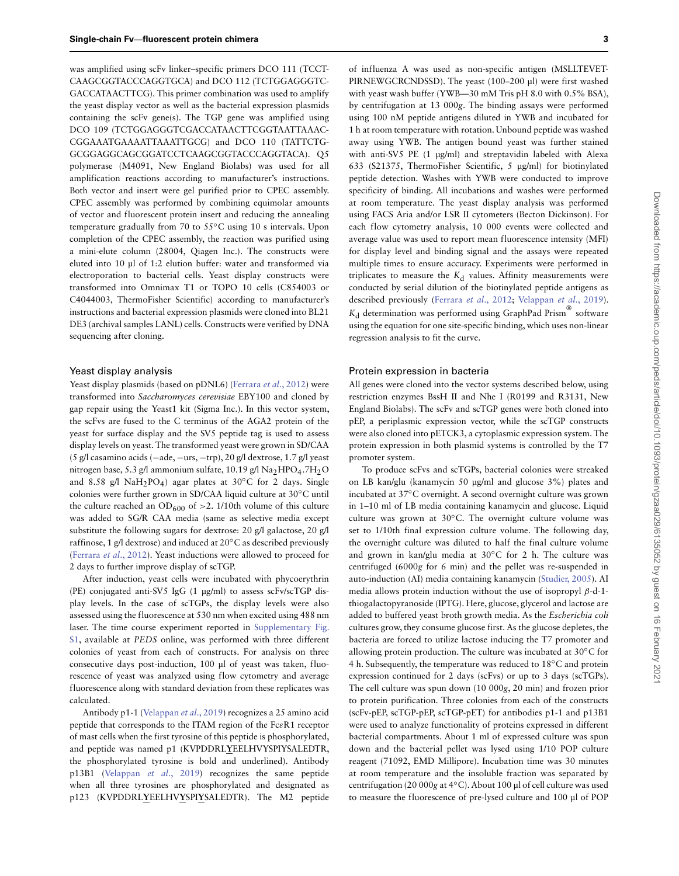was amplified using scFv linker–specific primers DCO 111 (TCCT-CAAGCGGTACCCAGGTGCA) and DCO 112 (TCTGGAGGGTC-GACCATAACTTCG). This primer combination was used to amplify the yeast display vector as well as the bacterial expression plasmids containing the scFv gene(s). The TGP gene was amplified using DCO 109 (TCTGGAGGGTCGACCATAACTTCGGTAATTAAAC-CGGAAATGAAAATTAAATTGCG) and DCO 110 (TATTCTG-GCGGAGGCAGCGGATCCTCAAGCGGTACCCAGGTACA). Q5 polymerase (M4091, New England Biolabs) was used for all amplification reactions according to manufacturer's instructions. Both vector and insert were gel purified prior to CPEC assembly. CPEC assembly was performed by combining equimolar amounts of vector and fluorescent protein insert and reducing the annealing temperature gradually from 70 to 55◦C using 10 s intervals. Upon completion of the CPEC assembly, the reaction was purified using a mini-elute column (28004, Qiagen Inc.). The constructs were eluted into 10 μl of 1:2 elution buffer: water and transformed via electroporation to bacterial cells. Yeast display constructs were transformed into Omnimax T1 or TOPO 10 cells (C854003 or C4044003, ThermoFisher Scientific) according to manufacturer's instructions and bacterial expression plasmids were cloned into BL21 DE3 (archival samples LANL) cells. Constructs were verified by DNA sequencing after cloning.

## Yeast display analysis

Yeast display plasmids (based on pDNL6) [\(Ferrara](#page-10-4) et al., 2012) were transformed into Saccharomyces cerevisiae EBY100 and cloned by gap repair using the Yeast1 kit (Sigma Inc.). In this vector system, the scFvs are fused to the C terminus of the AGA2 protein of the yeast for surface display and the SV5 peptide tag is used to assess display levels on yeast. The transformed yeast were grown in SD/CAA (5 g/l casamino acids (−ade, −urs, −trp), 20 g/l dextrose, 1.7 g/l yeast nitrogen base, 5.3 g/l ammonium sulfate, 10.19 g/l  $\text{Na}_2\text{HPO}_4$ .7H<sub>2</sub>O and 8.58 g/l NaH2PO4) agar plates at 30◦C for 2 days. Single colonies were further grown in SD/CAA liquid culture at 30◦C until the culture reached an  $OD_{600}$  of  $>2$ . 1/10th volume of this culture was added to SG/R CAA media (same as selective media except substitute the following sugars for dextrose: 20 g/l galactose, 20 g/l raffinose, 1 g/l dextrose) and induced at 20◦C as described previously [\(Ferrara](#page-10-4) et al., 2012). Yeast inductions were allowed to proceed for 2 days to further improve display of scTGP.

After induction, yeast cells were incubated with phycoerythrin (PE) conjugated anti-SV5 IgG (1 μg/ml) to assess scFv/scTGP display levels. In the case of scTGPs, the display levels were also assessed using the fluorescence at 530 nm when excited using 488 nm [laser. The time course experiment reported in](https://academic.oup.com/peds/article-lookup/doi/10.1093/peds/gzaa029#supplementary-data) Supplementary Fig. S1, available at PEDS online, was performed with three different colonies of yeast from each of constructs. For analysis on three consecutive days post-induction, 100 μl of yeast was taken, fluorescence of yeast was analyzed using flow cytometry and average fluorescence along with standard deviation from these replicates was calculated.

Antibody p1-1 [\(Velappan](#page-10-22) et al., 2019) recognizes a 25 amino acid peptide that corresponds to the ITAM region of the Fc*ε*R1 receptor of mast cells when the first tyrosine of this peptide is phosphorylated, and peptide was named p1 (KVPDDRL**Y**EELHVYSPIYSALEDTR, the phosphorylated tyrosine is bold and underlined). Antibody p13B1 [\(Velappan](#page-10-22) et al., 2019) recognizes the same peptide when all three tyrosines are phosphorylated and designated as p123 (KVPDDRL**Y**EELHV**Y**SPI**Y**SALEDTR). The M2 peptide of influenza A was used as non-specific antigen (MSLLTEVET-PIRNEWGCRCNDSSD). The yeast (100–200 μl) were first washed with yeast wash buffer (YWB—30 mM Tris pH 8.0 with 0.5% BSA), by centrifugation at 13 000g. The binding assays were performed using 100 nM peptide antigens diluted in YWB and incubated for 1 h at room temperature with rotation. Unbound peptide was washed away using YWB. The antigen bound yeast was further stained with anti-SV5 PE (1 μg/ml) and streptavidin labeled with Alexa 633 (S21375, ThermoFisher Scientific, 5 μg/ml) for biotinylated peptide detection. Washes with YWB were conducted to improve specificity of binding. All incubations and washes were performed at room temperature. The yeast display analysis was performed using FACS Aria and/or LSR II cytometers (Becton Dickinson). For each flow cytometry analysis, 10 000 events were collected and average value was used to report mean fluorescence intensity (MFI) for display level and binding signal and the assays were repeated multiple times to ensure accuracy. Experiments were performed in triplicates to measure the  $K_d$  values. Affinity measurements were conducted by serial dilution of the biotinylated peptide antigens as described previously (Ferrara et al[., 2012;](#page-10-4) [Velappan](#page-10-22) et al., 2019).  $K_d$  determination was performed using GraphPad Prism® software using the equation for one site-specific binding, which uses non-linear regression analysis to fit the curve.

#### Protein expression in bacteria

All genes were cloned into the vector systems described below, using restriction enzymes BssH II and Nhe I (R0199 and R3131, New England Biolabs). The scFv and scTGP genes were both cloned into pEP, a periplasmic expression vector, while the scTGP constructs were also cloned into pETCK3, a cytoplasmic expression system. The protein expression in both plasmid systems is controlled by the T7 promoter system.

To produce scFvs and scTGPs, bacterial colonies were streaked on LB kan/glu (kanamycin 50 μg/ml and glucose 3%) plates and incubated at 37◦C overnight. A second overnight culture was grown in 1–10 ml of LB media containing kanamycin and glucose. Liquid culture was grown at 30◦C. The overnight culture volume was set to 1/10th final expression culture volume. The following day, the overnight culture was diluted to half the final culture volume and grown in kan/glu media at 30◦C for 2 h. The culture was centrifuged (6000g for 6 min) and the pellet was re-suspended in auto-induction (AI) media containing kanamycin [\(Studier, 2005\)](#page-10-26). AI media allows protein induction without the use of isopropyl *β*-d-1 thiogalactopyranoside (IPTG). Here, glucose, glycerol and lactose are added to buffered yeast broth growth media. As the Escherichia coli cultures grow, they consume glucose first. As the glucose depletes, the bacteria are forced to utilize lactose inducing the T7 promoter and allowing protein production. The culture was incubated at 30◦C for 4 h. Subsequently, the temperature was reduced to 18°C and protein expression continued for 2 days (scFvs) or up to 3 days (scTGPs). The cell culture was spun down (10 000g, 20 min) and frozen prior to protein purification. Three colonies from each of the constructs (scFv-pEP, scTGP-pEP, scTGP-pET) for antibodies p1-1 and p13B1 were used to analyze functionality of proteins expressed in different bacterial compartments. About 1 ml of expressed culture was spun down and the bacterial pellet was lysed using 1/10 POP culture reagent (71092, EMD Millipore). Incubation time was 30 minutes at room temperature and the insoluble fraction was separated by centrifugation (20 000g at 4◦C). About 100 μl of cell culture was used to measure the fluorescence of pre-lysed culture and 100 μl of POP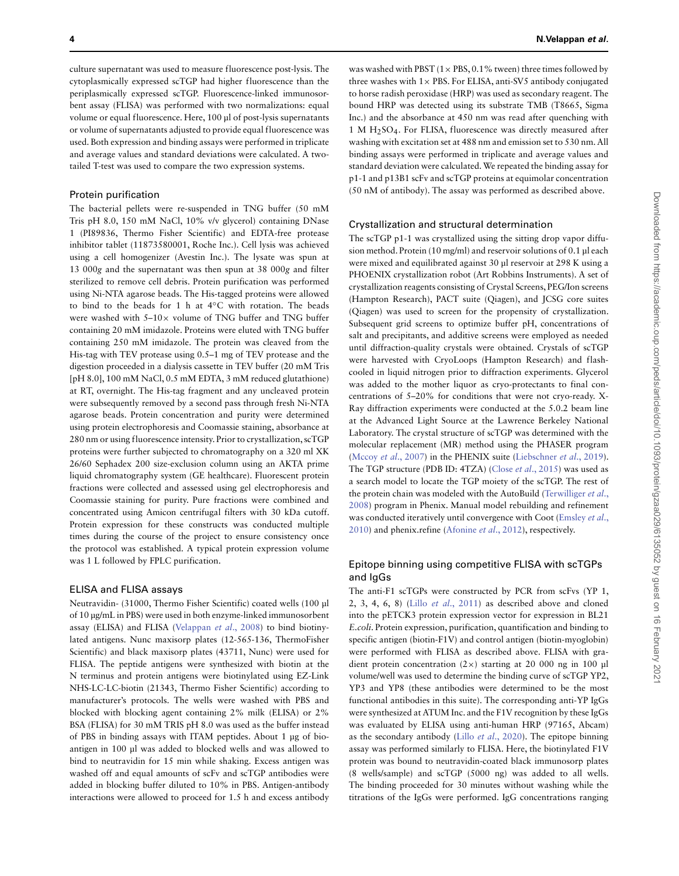culture supernatant was used to measure fluorescence post-lysis. The cytoplasmically expressed scTGP had higher fluorescence than the periplasmically expressed scTGP. Fluorescence-linked immunosorbent assay (FLISA) was performed with two normalizations: equal volume or equal fluorescence. Here, 100 μl of post-lysis supernatants or volume of supernatants adjusted to provide equal fluorescence was used. Both expression and binding assays were performed in triplicate and average values and standard deviations were calculated. A twotailed T-test was used to compare the two expression systems.

## Protein purification

The bacterial pellets were re-suspended in TNG buffer (50 mM Tris pH 8.0, 150 mM NaCl, 10% v/v glycerol) containing DNase 1 (PI89836, Thermo Fisher Scientific) and EDTA-free protease inhibitor tablet (11873580001, Roche Inc.). Cell lysis was achieved using a cell homogenizer (Avestin Inc.). The lysate was spun at 13 000g and the supernatant was then spun at 38 000g and filter sterilized to remove cell debris. Protein purification was performed using Ni-NTA agarose beads. The His-tagged proteins were allowed to bind to the beads for 1 h at 4◦C with rotation. The beads were washed with  $5-10\times$  volume of TNG buffer and TNG buffer containing 20 mM imidazole. Proteins were eluted with TNG buffer containing 250 mM imidazole. The protein was cleaved from the His-tag with TEV protease using 0.5–1 mg of TEV protease and the digestion proceeded in a dialysis cassette in TEV buffer (20 mM Tris [pH 8.0], 100 mM NaCl, 0.5 mM EDTA, 3 mM reduced glutathione) at RT, overnight. The His-tag fragment and any uncleaved protein were subsequently removed by a second pass through fresh Ni-NTA agarose beads. Protein concentration and purity were determined using protein electrophoresis and Coomassie staining, absorbance at 280 nm or using fluorescence intensity. Prior to crystallization, scTGP proteins were further subjected to chromatography on a 320 ml XK 26/60 Sephadex 200 size-exclusion column using an AKTA prime liquid chromatography system (GE healthcare). Fluorescent protein fractions were collected and assessed using gel electrophoresis and Coomassie staining for purity. Pure fractions were combined and concentrated using Amicon centrifugal filters with 30 kDa cutoff. Protein expression for these constructs was conducted multiple times during the course of the project to ensure consistency once the protocol was established. A typical protein expression volume was 1 L followed by FPLC purification.

## ELISA and FLISA assays

Neutravidin- (31000, Thermo Fisher Scientific) coated wells (100 μl of 10 μg/mL in PBS) were used in both enzyme-linked immunosorbent assay (ELISA) and FLISA [\(Velappan](#page-10-27) et al., 2008) to bind biotinylated antigens. Nunc maxisorp plates (12-565-136, ThermoFisher Scientific) and black maxisorp plates (43711, Nunc) were used for FLISA. The peptide antigens were synthesized with biotin at the N terminus and protein antigens were biotinylated using EZ-Link NHS-LC-LC-biotin (21343, Thermo Fisher Scientific) according to manufacturer's protocols. The wells were washed with PBS and blocked with blocking agent containing 2% milk (ELISA) or 2% BSA (FLISA) for 30 mM TRIS pH 8.0 was used as the buffer instead of PBS in binding assays with ITAM peptides. About 1 μg of bioantigen in 100 μl was added to blocked wells and was allowed to bind to neutravidin for 15 min while shaking. Excess antigen was washed off and equal amounts of scFv and scTGP antibodies were added in blocking buffer diluted to 10% in PBS. Antigen-antibody interactions were allowed to proceed for 1.5 h and excess antibody

was washed with PBST  $(1 \times PBS, 0.1\%$  tween) three times followed by three washes with  $1 \times$  PBS. For ELISA, anti-SV5 antibody conjugated to horse radish peroxidase (HRP) was used as secondary reagent. The bound HRP was detected using its substrate TMB (T8665, Sigma Inc.) and the absorbance at 450 nm was read after quenching with 1MH2SO4. For FLISA, fluorescence was directly measured after washing with excitation set at 488 nm and emission set to 530 nm. All binding assays were performed in triplicate and average values and standard deviation were calculated.We repeated the binding assay for p1-1 and p13B1 scFv and scTGP proteins at equimolar concentration (50 nM of antibody). The assay was performed as described above.

## Crystallization and structural determination

The scTGP p1-1 was crystallized using the sitting drop vapor diffusion method. Protein (10 mg/ml) and reservoir solutions of 0.1 μl each were mixed and equilibrated against 30 μl reservoir at 298 K using a PHOENIX crystallization robot (Art Robbins Instruments). A set of crystallization reagents consisting of Crystal Screens, PEG/Ion screens (Hampton Research), PACT suite (Qiagen), and JCSG core suites (Qiagen) was used to screen for the propensity of crystallization. Subsequent grid screens to optimize buffer pH, concentrations of salt and precipitants, and additive screens were employed as needed until diffraction-quality crystals were obtained. Crystals of scTGP were harvested with CryoLoops (Hampton Research) and flashcooled in liquid nitrogen prior to diffraction experiments. Glycerol was added to the mother liquor as cryo-protectants to final concentrations of 5–20% for conditions that were not cryo-ready. X-Ray diffraction experiments were conducted at the 5.0.2 beam line at the Advanced Light Source at the Lawrence Berkeley National Laboratory. The crystal structure of scTGP was determined with the molecular replacement (MR) method using the PHASER program (Mccoy et al[., 2007\)](#page-10-28) in the PHENIX suite [\(Liebschner](#page-10-29) et al., 2019). The TGP structure (PDB ID: 4TZA) (Close et al[., 2015\)](#page-10-21) was used as a search model to locate the TGP moiety of the scTGP. The rest of the protein chain was modeled with the AutoBuild (Terwilliger et al., [2008\) program in Phenix. Manual model rebuilding and refinement](#page-10-30) [was conducted iteratively until convergence with Coot \(Emsley](#page-10-31) et al., 2010) and phenix.refine [\(Afonine](#page-10-32) et al., 2012), respectively.

# Epitope binning using competitive FLISA with scTGPs and IgGs

The anti-F1 scTGPs were constructed by PCR from scFvs (YP 1, 2, 3, 4, 6, 8) (Lillo et al[., 2011\)](#page-10-24) as described above and cloned into the pETCK3 protein expression vector for expression in BL21 E.coli. Protein expression, purification, quantification and binding to specific antigen (biotin-F1V) and control antigen (biotin-myoglobin) were performed with FLISA as described above. FLISA with gradient protein concentration (2×) starting at 20 000 ng in 100 μl volume/well was used to determine the binding curve of scTGP YP2, YP3 and YP8 (these antibodies were determined to be the most functional antibodies in this suite). The corresponding anti-YP IgGs were synthesized at ATUM Inc. and the F1V recognition by these IgGs was evaluated by ELISA using anti-human HRP (97165, Abcam) as the secondary antibody (Lillo et al[., 2020\)](#page-10-25). The epitope binning assay was performed similarly to FLISA. Here, the biotinylated F1V protein was bound to neutravidin-coated black immunosorp plates (8 wells/sample) and scTGP (5000 ng) was added to all wells. The binding proceeded for 30 minutes without washing while the titrations of the IgGs were performed. IgG concentrations ranging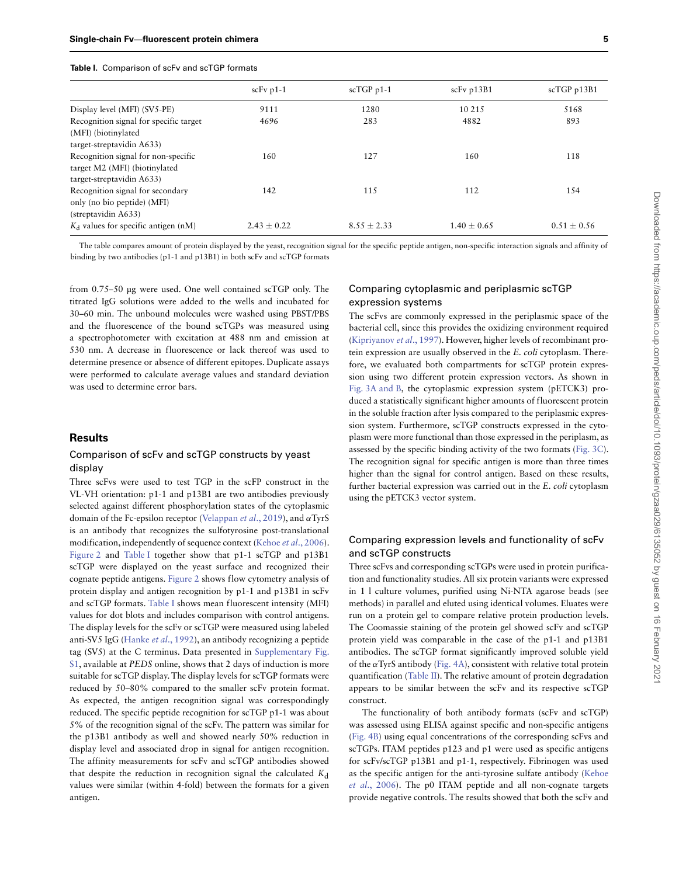#### <span id="page-4-0"></span>**Table I.** Comparison of scFv and scTGP formats

|                                                                                                   | $scFv p1-1$     | $scTGP$ p1-1    | scFv p13B1      | scTGP p13B1     |
|---------------------------------------------------------------------------------------------------|-----------------|-----------------|-----------------|-----------------|
| Display level (MFI) (SV5-PE)                                                                      | 9111            | 1280            | 10 215          | 5168            |
| Recognition signal for specific target<br>(MFI) (biotinylated                                     | 4696            | 283             | 4882            | 893             |
| target-streptavidin A633)                                                                         |                 |                 |                 |                 |
| Recognition signal for non-specific<br>target M2 (MFI) (biotinylated<br>target-streptavidin A633) | 160             | 127             | 160             | 118             |
| Recognition signal for secondary<br>only (no bio peptide) (MFI)<br>(streptavidin A633)            | 142             | 115             | 112             | 154             |
| $K_d$ values for specific antigen (nM)                                                            | $2.43 \pm 0.22$ | $8.55 \pm 2.33$ | $1.40 \pm 0.65$ | $0.51 \pm 0.56$ |

The table compares amount of protein displayed by the yeast, recognition signal for the specific peptide antigen, non-specific interaction signals and affinity of binding by two antibodies (p1-1 and p13B1) in both scFv and scTGP formats

from 0.75–50 μg were used. One well contained scTGP only. The titrated IgG solutions were added to the wells and incubated for 30–60 min. The unbound molecules were washed using PBST/PBS and the fluorescence of the bound scTGPs was measured using a spectrophotometer with excitation at 488 nm and emission at 530 nm. A decrease in fluorescence or lack thereof was used to determine presence or absence of different epitopes. Duplicate assays were performed to calculate average values and standard deviation was used to determine error bars.

## **Results**

## Comparison of scFv and scTGP constructs by yeast display

Three scFvs were used to test TGP in the scFP construct in the VL-VH orientation: p1-1 and p13B1 are two antibodies previously selected against different phosphorylation states of the cytoplasmic domain of the Fc-epsilon receptor [\(Velappan](#page-10-22) et al., 2019), and *α*TyrS is an antibody that recognizes the sulfotyrosine post-translational modification, independently of sequence context (Kehoe et al[., 2006\)](#page-10-23). [Figure 2](#page-6-0) and [Table I](#page-4-0) together show that p1-1 scTGP and p13B1 scTGP were displayed on the yeast surface and recognized their cognate peptide antigens. [Figure 2](#page-6-0) shows flow cytometry analysis of protein display and antigen recognition by p1-1 and p13B1 in scFv and scTGP formats. [Table I](#page-4-0) shows mean fluorescent intensity (MFI) values for dot blots and includes comparison with control antigens. The display levels for the scFv or scTGP were measured using labeled anti-SV5 IgG (Hanke et al[., 1992\)](#page-10-33), an antibody recognizing a peptide [tag \(SV5\) at the C terminus. Data presented in](https://academic.oup.com/peds/article-lookup/doi/10.1093/peds/gzaa029#supplementary-data) Supplementary Fig. S1, available at PEDS online, shows that 2 days of induction is more suitable for scTGP display. The display levels for scTGP formats were reduced by 50–80% compared to the smaller scFv protein format. As expected, the antigen recognition signal was correspondingly reduced. The specific peptide recognition for scTGP p1-1 was about 5% of the recognition signal of the scFv. The pattern was similar for the p13B1 antibody as well and showed nearly 50% reduction in display level and associated drop in signal for antigen recognition. The affinity measurements for scFv and scTGP antibodies showed that despite the reduction in recognition signal the calculated  $K_d$ values were similar (within 4-fold) between the formats for a given antigen.

# Comparing cytoplasmic and periplasmic scTGP expression systems

The scFvs are commonly expressed in the periplasmic space of the bacterial cell, since this provides the oxidizing environment required [\(Kipriyanov](#page-10-14) et al., 1997). However, higher levels of recombinant protein expression are usually observed in the E. coli cytoplasm. Therefore, we evaluated both compartments for scTGP protein expression using two different protein expression vectors. As shown in [Fig. 3A and B,](#page-7-0) the cytoplasmic expression system (pETCK3) produced a statistically significant higher amounts of fluorescent protein in the soluble fraction after lysis compared to the periplasmic expression system. Furthermore, scTGP constructs expressed in the cytoplasm were more functional than those expressed in the periplasm, as assessed by the specific binding activity of the two formats [\(Fig. 3C\)](#page-7-0). The recognition signal for specific antigen is more than three times higher than the signal for control antigen. Based on these results, further bacterial expression was carried out in the E. coli cytoplasm using the pETCK3 vector system.

# Comparing expression levels and functionality of scFv and scTGP constructs

Three scFvs and corresponding scTGPs were used in protein purification and functionality studies. All six protein variants were expressed in 1 l culture volumes, purified using Ni-NTA agarose beads (see methods) in parallel and eluted using identical volumes. Eluates were run on a protein gel to compare relative protein production levels. The Coomassie staining of the protein gel showed scFv and scTGP protein yield was comparable in the case of the p1-1 and p13B1 antibodies. The scTGP format significantly improved soluble yield of the *α*TyrS antibody [\(Fig. 4A\)](#page-7-1), consistent with relative total protein quantification [\(Table II\)](#page-5-0). The relative amount of protein degradation appears to be similar between the scFv and its respective scTGP construct.

The functionality of both antibody formats (scFv and scTGP) was assessed using ELISA against specific and non-specific antigens [\(Fig. 4B\)](#page-7-1) using equal concentrations of the corresponding scFvs and scTGPs. ITAM peptides p123 and p1 were used as specific antigens for scFv/scTGP p13B1 and p1-1, respectively. Fibrinogen was used [as the specific antigen for the anti-tyrosine sulfate antibody \(Kehoe](#page-10-23) et al., 2006). The p0 ITAM peptide and all non-cognate targets provide negative controls. The results showed that both the scFv and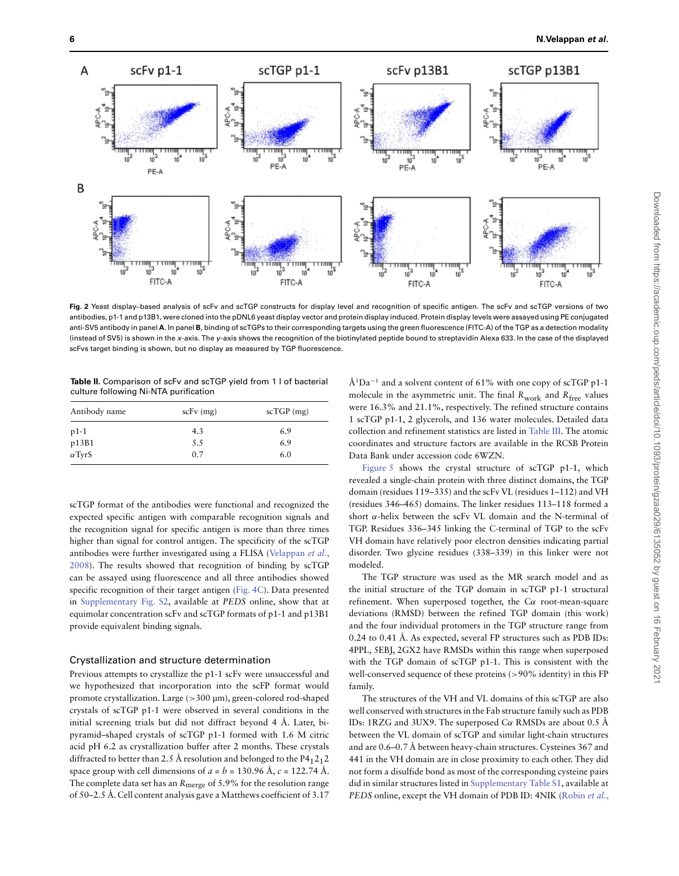

**Fig. 2** Yeast display–based analysis of scFv and scTGP constructs for display level and recognition of specific antigen. The scFv and scTGP versions of two antibodies, p1-1 and p13B1, were cloned into the pDNL6 yeast display vector and protein display induced. Protein display levels were assayed using PE conjugated anti-SV5 antibody in panel **A**. In panel **B**, binding of scTGPs to their corresponding targets using the green fluorescence (FITC-A) of the TGP as a detection modality (instead of SV5) is shown in the x-axis. The y-axis shows the recognition of the biotinylated peptide bound to streptavidin Alexa 633. In the case of the displayed scFvs target binding is shown, but no display as measured by TGP fluorescence.

<span id="page-5-0"></span>**Table II.** Comparison of scFv and scTGP yield from 1 l of bacterial culture following Ni-NTA purification

| Antibody name | $scFv$ (mg) | $scTGP$ (mg) |  |
|---------------|-------------|--------------|--|
| $p1-1$        | 4.3         | 6.9          |  |
| p13B1         | 5.5         | 6.9          |  |
| $\alpha$ TyrS | 0.7         | 6.0          |  |

scTGP format of the antibodies were functional and recognized the expected specific antigen with comparable recognition signals and the recognition signal for specific antigen is more than three times higher than signal for control antigen. The specificity of the scTGP antibodies were further investigated using a FLISA (Velappan et al., [2008\). The results showed that recognition of binding by scTGP](#page-10-27) can be assayed using fluorescence and all three antibodies showed specific recognition of their target antigen [\(Fig. 4C\)](#page-7-1). Data presented in [Supplementary Fig. S2,](https://academic.oup.com/peds/article-lookup/doi/10.1093/peds/gzaa029#supplementary-data) available at PEDS online, show that at equimolar concentration scFv and scTGP formats of p1-1 and p13B1 provide equivalent binding signals.

## Crystallization and structure determination

Previous attempts to crystallize the p1-1 scFv were unsuccessful and we hypothesized that incorporation into the scFP format would promote crystallization. Large (*>*300 μm), green-colored rod-shaped crystals of scTGP p1-1 were observed in several conditions in the initial screening trials but did not diffract beyond 4 Å. Later, bipyramid–shaped crystals of scTGP p1-1 formed with 1.6 M citric acid pH 6.2 as crystallization buffer after 2 months. These crystals diffracted to better than 2.5 Å resolution and belonged to the  $P4<sub>1</sub>2<sub>1</sub>2$ space group with cell dimensions of  $a = b = 130.96$  Å,  $c = 122.74$  Å. The complete data set has an  $R_{\text{merge}}$  of 5.9% for the resolution range of 50–2.5 Å. Cell content analysis gave a Matthews coefficient of 3.17 Å<sup>3</sup>Da<sup>-1</sup> and a solvent content of 61% with one copy of scTGP p1-1 molecule in the asymmetric unit. The final  $R_{work}$  and  $R_{free}$  values were 16.3% and 21.1%, respectively. The refined structure contains 1 scTGP p1-1, 2 glycerols, and 136 water molecules. Detailed data collection and refinement statistics are listed in [Table III.](#page-9-0) The atomic coordinates and structure factors are available in the RCSB Protein Data Bank under accession code 6WZN.

Figure 5 shows the crystal structure of scTGP p1-1, which revealed a single-chain protein with three distinct domains, the TGP domain (residues 119–335) and the scFv VL (residues 1–112) and VH (residues 346–465) domains. The linker residues 113–118 formed a short *α*-helix between the scFv VL domain and the N-terminal of TGP. Residues 336–345 linking the C-terminal of TGP to the scFv VH domain have relatively poor electron densities indicating partial disorder. Two glycine residues (338–339) in this linker were not modeled.

The TGP structure was used as the MR search model and as the initial structure of the TGP domain in scTGP p1-1 structural refinement. When superposed together, the C*α* root-mean-square deviations (RMSD) between the refined TGP domain (this work) and the four individual protomers in the TGP structure range from 0.24 to 0.41 Å. As expected, several FP structures such as PDB IDs: 4PPL, 5EBJ, 2GX2 have RMSDs within this range when superposed with the TGP domain of scTGP p1-1. This is consistent with the well-conserved sequence of these proteins (*>*90% identity) in this FP family.

The structures of the VH and VL domains of this scTGP are also well conserved with structures in the Fab structure family such as PDB IDs: 1RZG and 3UX9. The superposed C*α* RMSDs are about 0.5 Å between the VL domain of scTGP and similar light-chain structures and are 0.6–0.7 Å between heavy-chain structures. Cysteines 367 and 441 in the VH domain are in close proximity to each other. They did not form a disulfide bond as most of the corresponding cysteine pairs did in similar structures listed in [Supplementary Table S1,](https://academic.oup.com/peds/article-lookup/doi/10.1093/peds/gzaa029#supplementary-data) available at PEDS online, except the VH domain of PDB ID: 4NIK [\(Robin](#page-10-34) et al.,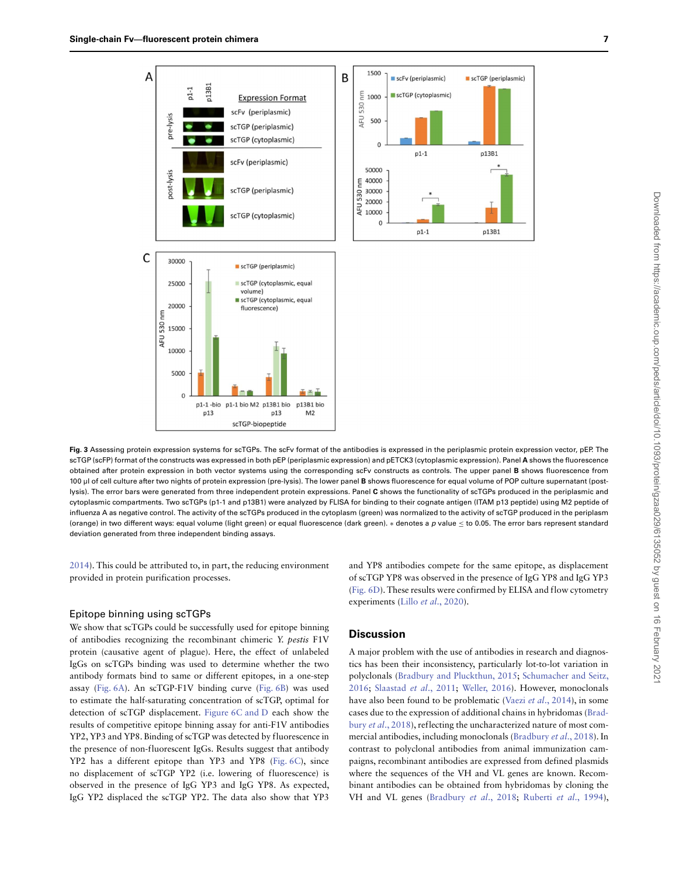



<span id="page-6-0"></span>**Fig. 3** Assessing protein expression systems for scTGPs. The scFv format of the antibodies is expressed in the periplasmic protein expression vector, pEP. The scTGP (scFP) format of the constructs was expressed in both pEP (periplasmic expression) and pETCK3 (cytoplasmic expression). Panel **A** shows the fluorescence obtained after protein expression in both vector systems using the corresponding scFv constructs as controls. The upper panel **B** shows fluorescence from 100 μl of cell culture after two nights of protein expression (pre-lysis). The lower panel **B** shows fluorescence for equal volume of POP culture supernatant (postlysis). The error bars were generated from three independent protein expressions. Panel **C** shows the functionality of scTGPs produced in the periplasmic and cytoplasmic compartments. Two scTGPs (p1-1 and p13B1) were analyzed by FLISA for binding to their cognate antigen (ITAM p13 peptide) using M2 peptide of influenza A as negative control. The activity of the scTGPs produced in the cytoplasm (green) was normalized to the activity of scTGP produced in the periplasm (orange) in two different ways: equal volume (light green) or equal fluorescence (dark green). ∗ denotes a p value ≤ to 0.05. The error bars represent standard deviation generated from three independent binding assays.

[2014\)](#page-10-34). This could be attributed to, in part, the reducing environment provided in protein purification processes.

#### Epitope binning using scTGPs

We show that scTGPs could be successfully used for epitope binning of antibodies recognizing the recombinant chimeric Y. pestis F1V protein (causative agent of plague). Here, the effect of unlabeled IgGs on scTGPs binding was used to determine whether the two antibody formats bind to same or different epitopes, in a one-step assay (Fig. 6A). An scTGP-F1V binding curve (Fig. 6B) was used to estimate the half-saturating concentration of scTGP, optimal for detection of scTGP displacement. Figure 6C and D each show the results of competitive epitope binning assay for anti-F1V antibodies YP2, YP3 and YP8. Binding of scTGP was detected by fluorescence in the presence of non-fluorescent IgGs. Results suggest that antibody YP2 has a different epitope than YP3 and YP8 (Fig. 6C), since no displacement of scTGP YP2 (i.e. lowering of fluorescence) is observed in the presence of IgG YP3 and IgG YP8. As expected, IgG YP2 displaced the scTGP YP2. The data also show that YP3

and YP8 antibodies compete for the same epitope, as displacement of scTGP YP8 was observed in the presence of IgG YP8 and IgG YP3 (Fig. 6D). These results were confirmed by ELISA and flow cytometry experiments (Lillo et al[., 2020\)](#page-10-25).

## **Discussion**

A major problem with the use of antibodies in research and diagnostics has been their inconsistency, particularly lot-to-lot variation in [polyclonals \(](#page-10-35)[Bradbury and Pluckthun, 2015](#page-10-8)[;](#page-10-35) Schumacher and Seitz, 2016; [Slaastad](#page-10-36) et al., 2011; [Weller, 2016\)](#page-10-37). However, monoclonals have also been found to be problematic (Vaezi et al[., 2014\)](#page-10-38), in some [cases due to the expression of additional chains in hybridomas \(Brad](#page-10-39)bury et al., 2018), reflecting the uncharacterized nature of most commercial antibodies, including monoclonals [\(Bradbury](#page-10-39) et al., 2018). In contrast to polyclonal antibodies from animal immunization campaigns, recombinant antibodies are expressed from defined plasmids where the sequences of the VH and VL genes are known. Recombinant antibodies can be obtained from hybridomas by cloning the VH and VL genes [\(Bradbury](#page-10-39) et al., 2018; Ruberti et al[., 1994\)](#page-10-40),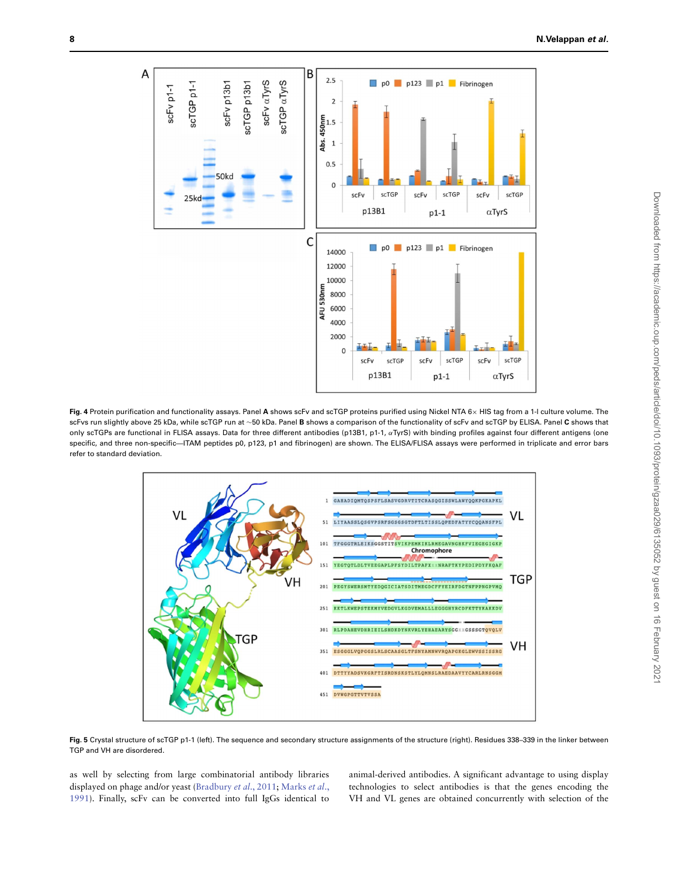

<span id="page-7-0"></span>**Fig. 4** Protein purification and functionality assays. Panel **A** shows scFv and scTGP proteins purified using Nickel NTA 6× HIS tag from a 1-l culture volume. The scFvs run slightly above 25 kDa, while scTGP run at ∼50 kDa. Panel **B** shows a comparison of the functionality of scFv and scTGP by ELISA. Panel **C** shows that only scTGPs are functional in FLISA assays. Data for three different antibodies (p13B1, p1-1, *α*TyrS) with binding profiles against four different antigens (one specific, and three non-specific—ITAM peptides p0, p123, p1 and fibrinogen) are shown. The ELISA/FLISA assays were performed in triplicate and error bars refer to standard deviation.



<span id="page-7-1"></span>Fig. 5 Crystal structure of scTGP p1-1 (left). The sequence and secondary structure assignments of the structure (right). Residues 338-339 in the linker between TGP and VH are disordered.

as well by selecting from large combinatorial antibody libraries displayed on phage and/or yeast [\(Bradbury](#page-10-41) et al., 2011; Marks et al., [1991\). Finally, scFv can be converted into full IgGs identical to](#page-10-5) animal-derived antibodies. A significant advantage to using display technologies to select antibodies is that the genes encoding the VH and VL genes are obtained concurrently with selection of the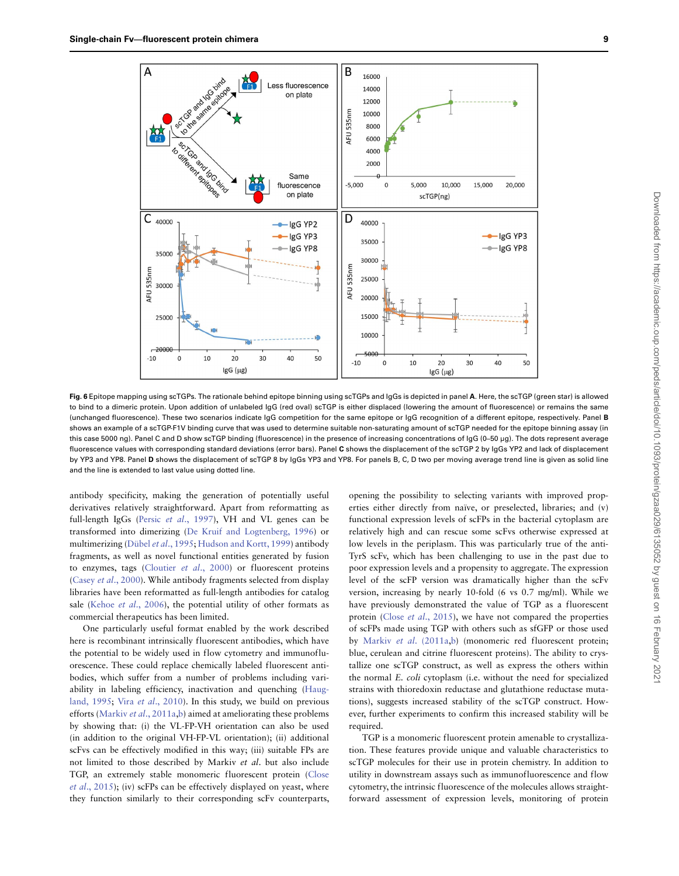

**Fig. 6** Epitope mapping using scTGPs. The rationale behind epitope binning using scTGPs and IgGs is depicted in panel **A**. Here, the scTGP (green star) is allowed to bind to a dimeric protein. Upon addition of unlabeled IgG (red oval) scTGP is either displaced (lowering the amount of fluorescence) or remains the same (unchanged fluorescence). These two scenarios indicate IgG competition for the same epitope or IgG recognition of a different epitope, respectively. Panel **B** shows an example of a scTGP-F1V binding curve that was used to determine suitable non-saturating amount of scTGP needed for the epitope binning assay (in this case 5000 ng). Panel C and D show scTGP binding (fluorescence) in the presence of increasing concentrations of IgG (0–50 μg). The dots represent average fluorescence values with corresponding standard deviations (error bars). Panel **C** shows the displacement of the scTGP 2 by IgGs YP2 and lack of displacement by YP3 and YP8. Panel **D** shows the displacement of scTGP 8 by IgGs YP3 and YP8. For panels B, C, D two per moving average trend line is given as solid line and the line is extended to last value using dotted line.

antibody specificity, making the generation of potentially useful derivatives relatively straightforward. Apart from reformatting as full-length IgGs (Persic et al[., 1997\)](#page-10-10), VH and VL genes can be transformed into dimerizing [\(De Kruif and Logtenberg, 1996\)](#page-10-42) or multimerizing (Dübel et al[., 1995;](#page-10-43) [Hudson and Kortt, 1999\)](#page-10-44) antibody fragments, as well as novel functional entities generated by fusion to enzymes, tags [\(Cloutier](#page-10-45) et al., 2000) or fluorescent proteins (Casey et al[., 2000\)](#page-10-13). While antibody fragments selected from display libraries have been reformatted as full-length antibodies for catalog sale (Kehoe et al[., 2006\)](#page-10-23), the potential utility of other formats as commercial therapeutics has been limited.

One particularly useful format enabled by the work described here is recombinant intrinsically fluorescent antibodies, which have the potential to be widely used in flow cytometry and immunofluorescence. These could replace chemically labeled fluorescent antibodies, which suffer from a number of problems including vari[ability in labeling efficiency, inactivation and quenching \(Haug](#page-10-1)land, 1995; Vira et al[., 2010\)](#page-10-2). In this study, we build on previous efforts (Markiv et al[., 2011a,](#page-10-19)[b\)](#page-10-20) aimed at ameliorating these problems by showing that: (i) the VL-FP-VH orientation can also be used (in addition to the original VH-FP-VL orientation); (ii) additional scFvs can be effectively modified in this way; (iii) suitable FPs are not limited to those described by Markiv et al. but also include [TGP, an extremely stable monomeric fluorescent protein \(Close](#page-10-21) et al., 2015); (iv) scFPs can be effectively displayed on yeast, where they function similarly to their corresponding scFv counterparts,

opening the possibility to selecting variants with improved properties either directly from naïve, or preselected, libraries; and (v) functional expression levels of scFPs in the bacterial cytoplasm are relatively high and can rescue some scFvs otherwise expressed at low levels in the periplasm. This was particularly true of the anti-TyrS scFv, which has been challenging to use in the past due to poor expression levels and a propensity to aggregate. The expression level of the scFP version was dramatically higher than the scFv version, increasing by nearly 10-fold (6 vs 0.7 mg/ml). While we have previously demonstrated the value of TGP as a fluorescent protein (Close et al[., 2015\)](#page-10-21), we have not compared the properties of scFPs made using TGP with others such as sfGFP or those used by Markiv et al[. \(2011a,](#page-10-19)[b\)](#page-10-20) (monomeric red fluorescent protein; blue, cerulean and citrine fluorescent proteins). The ability to crystallize one scTGP construct, as well as express the others within the normal E. coli cytoplasm (i.e. without the need for specialized strains with thioredoxin reductase and glutathione reductase mutations), suggests increased stability of the scTGP construct. However, further experiments to confirm this increased stability will be required.

TGP is a monomeric fluorescent protein amenable to crystallization. These features provide unique and valuable characteristics to scTGP molecules for their use in protein chemistry. In addition to utility in downstream assays such as immunofluorescence and flow cytometry, the intrinsic fluorescence of the molecules allows straightforward assessment of expression levels, monitoring of protein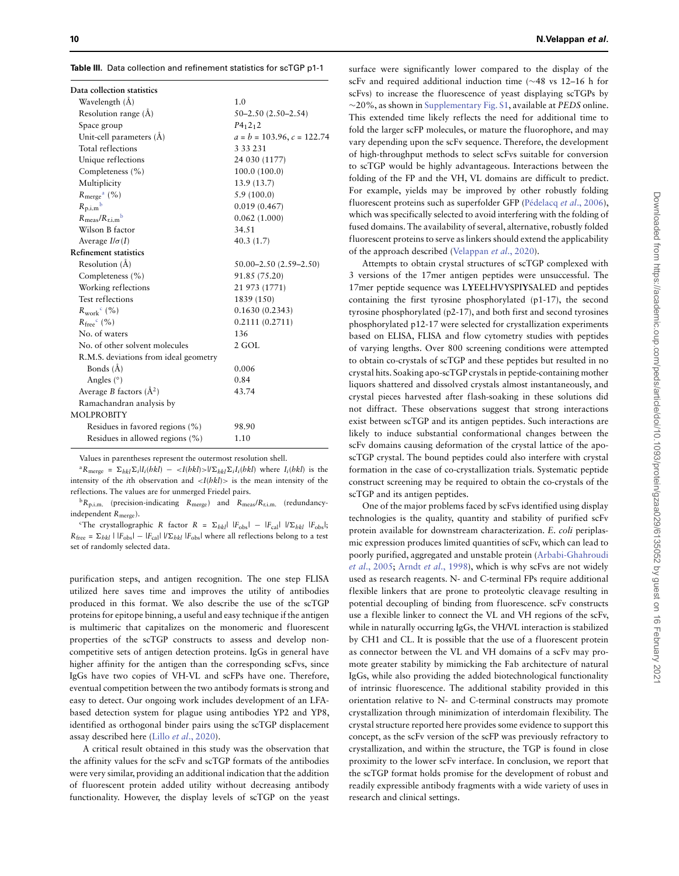<span id="page-9-0"></span>**Table III.** Data collection and refinement statistics for scTGP p1-1

| Data collection statistics            |                                 |
|---------------------------------------|---------------------------------|
| Wavelength (Å)                        | 1.0                             |
| Resolution range (Å)                  | $50 - 2.50$ $(2.50 - 2.54)$     |
| Space group                           | $P_412_12$                      |
| Unit-cell parameters (Å)              | $a = b = 103.96$ , $c = 122.74$ |
| Total reflections                     | 3 3 3 2 3 1                     |
| Unique reflections                    | 24 030 (1177)                   |
| Completeness (%)                      | 100.0(100.0)                    |
| Multiplicity                          | 13.9 (13.7)                     |
| $R_{\rm merge}^{\rm a}$ (%)           | 5.9(100.0)                      |
| $R_{\text{p.i.m}}^{\text{b}}$         | 0.019(0.467)                    |
| $R_{\text{meas}}/R_{\text{r.i.m}}$    | 0.062(1.000)                    |
| Wilson B factor                       | 34.51                           |
| Average $I/\sigma(I)$                 | 40.3(1.7)                       |
| <b>Refinement statistics</b>          |                                 |
| Resolution (Å)                        | 50.00-2.50 (2.59-2.50)          |
| Completeness (%)                      | 91.85 (75.20)                   |
| Working reflections                   | 21 973 (1771)                   |
| Test reflections                      | 1839 (150)                      |
| $R_{work}$ <sup>c</sup> (%)           | 0.1630(0.2343)                  |
| $R_{\text{free}}^{\text{c}}$ (%)      | 0.2111(0.2711)                  |
| No. of waters                         | 136                             |
| No. of other solvent molecules        | 2 GOL                           |
| R.M.S. deviations from ideal geometry |                                 |
| Bonds (Å)                             | 0.006                           |
| Angles $(°)$                          | 0.84                            |
| Average B factors $(\AA^2)$           | 43.74                           |
| Ramachandran analysis by              |                                 |
| <b>MOLPROBITY</b>                     |                                 |
| Residues in favored regions (%)       | 98.90                           |
| Residues in allowed regions (%)       | 1.10                            |

Values in parentheses represent the outermost resolution shell.

 ${}^{a}R_{\text{merge}} = \sum_{hkl} \sum_{i} |I_i(hkl) - \langle I(hkl) \rangle / \langle I_k|I_i(hkl) \rangle$  where  $I_i(hkl)$  is the intensity of the *i*th observation and  $\langle I(hkI)\rangle$  is the mean intensity of the reflections. The values are for unmerged Friedel pairs.

 ${}^{\text{b}}R_{\text{p.i.m.}}$  (precision-indicating  $R_{\text{merge}}$ ) and  $R_{\text{meas}}/R_{\text{r.i.m.}}$  (redundancyindependent Rmerge).

<sup>c</sup>The crystallographic R factor R =  $\Sigma_{hkl}$ | | $F_{\text{obs}}$ | – | $F_{\text{cal}}$ | | $\Sigma_{hkl}$  | $F_{\text{obs}}$ |;  $R_{\text{free}} = \Sigma_{bkl} | |F_{\text{obs}}| - |F_{\text{cal}}| | / |\Sigma_{bkl} | F_{\text{obs}}|$  where all reflections belong to a test set of randomly selected data.

purification steps, and antigen recognition. The one step FLISA utilized here saves time and improves the utility of antibodies produced in this format. We also describe the use of the scTGP proteins for epitope binning, a useful and easy technique if the antigen is multimeric that capitalizes on the monomeric and fluorescent properties of the scTGP constructs to assess and develop noncompetitive sets of antigen detection proteins. IgGs in general have higher affinity for the antigen than the corresponding scFvs, since IgGs have two copies of VH-VL and scFPs have one. Therefore, eventual competition between the two antibody formats is strong and easy to detect. Our ongoing work includes development of an LFAbased detection system for plague using antibodies YP2 and YP8, identified as orthogonal binder pairs using the scTGP displacement assay described here (Lillo et al[., 2020\)](#page-10-25).

A critical result obtained in this study was the observation that the affinity values for the scFv and scTGP formats of the antibodies were very similar, providing an additional indication that the addition of fluorescent protein added utility without decreasing antibody functionality. However, the display levels of scTGP on the yeast

surface were significantly lower compared to the display of the scFv and required additional induction time (∼48 vs 12–16 h for scFvs) to increase the fluorescence of yeast displaying scTGPs by ∼20%, as shown in [Supplementary Fig. S1,](https://academic.oup.com/peds/article-lookup/doi/10.1093/peds/gzaa029#supplementary-data) available at PEDS online. This extended time likely reflects the need for additional time to fold the larger scFP molecules, or mature the fluorophore, and may vary depending upon the scFv sequence. Therefore, the development of high-throughput methods to select scFvs suitable for conversion to scTGP would be highly advantageous. Interactions between the folding of the FP and the VH, VL domains are difficult to predict. For example, yields may be improved by other robustly folding fluorescent proteins such as superfolder GFP [\(Pédelacq](#page-10-15) et al., 2006), which was specifically selected to avoid interfering with the folding of fused domains. The availability of several, alternative, robustly folded fluorescent proteins to serve as linkers should extend the applicability of the approach described [\(Velappan](#page-10-46) et al., 2020).

Attempts to obtain crystal structures of scTGP complexed with 3 versions of the 17mer antigen peptides were unsuccessful. The 17mer peptide sequence was L**Y**EELHVYSPI**Y**SALED and peptides containing the first tyrosine phosphorylated (p1-17), the second tyrosine phosphorylated (p2-17), and both first and second tyrosines phosphorylated p12-17 were selected for crystallization experiments based on ELISA, FLISA and flow cytometry studies with peptides of varying lengths. Over 800 screening conditions were attempted to obtain co-crystals of scTGP and these peptides but resulted in no crystal hits. Soaking apo-scTGP crystals in peptide-containing mother liquors shattered and dissolved crystals almost instantaneously, and crystal pieces harvested after flash-soaking in these solutions did not diffract. These observations suggest that strong interactions exist between scTGP and its antigen peptides. Such interactions are likely to induce substantial conformational changes between the scFv domains causing deformation of the crystal lattice of the aposcTGP crystal. The bound peptides could also interfere with crystal formation in the case of co-crystallization trials. Systematic peptide construct screening may be required to obtain the co-crystals of the scTGP and its antigen peptides.

One of the major problems faced by scFvs identified using display technologies is the quality, quantity and stability of purified scFv protein available for downstream characterization. E. coli periplasmic expression produces limited quantities of scFv, which can lead to [poorly purified, aggregated and unstable protein \(Arbabi-Ghahroudi](#page-10-47) et al., 2005; Arndt et al[., 1998\)](#page-10-9), which is why scFvs are not widely used as research reagents. N- and C-terminal FPs require additional flexible linkers that are prone to proteolytic cleavage resulting in potential decoupling of binding from fluorescence. scFv constructs use a flexible linker to connect the VL and VH regions of the scFv, while in naturally occurring IgGs, the VH/VL interaction is stabilized by CH1 and CL. It is possible that the use of a fluorescent protein as connector between the VL and VH domains of a scFv may promote greater stability by mimicking the Fab architecture of natural IgGs, while also providing the added biotechnological functionality of intrinsic fluorescence. The additional stability provided in this orientation relative to N- and C-terminal constructs may promote crystallization through minimization of interdomain flexibility. The crystal structure reported here provides some evidence to support this concept, as the scFv version of the scFP was previously refractory to crystallization, and within the structure, the TGP is found in close proximity to the lower scFv interface. In conclusion, we report that the scTGP format holds promise for the development of robust and readily expressible antibody fragments with a wide variety of uses in research and clinical settings.